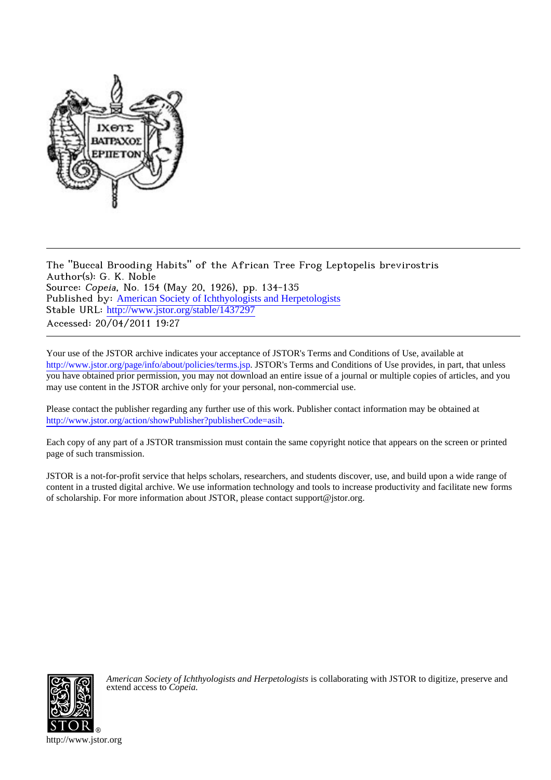

The "Buccal Brooding Habits" of the African Tree Frog Leptopelis brevirostris Author(s): G. K. Noble Source: Copeia, No. 154 (May 20, 1926), pp. 134-135 Published by: [American Society of Ichthyologists and Herpetologists](http://www.jstor.org/action/showPublisher?publisherCode=asih) Stable URL: [http://www.jstor.org/stable/1437297](http://www.jstor.org/stable/1437297?origin=JSTOR-pdf) Accessed: 20/04/2011 19:27

Your use of the JSTOR archive indicates your acceptance of JSTOR's Terms and Conditions of Use, available at <http://www.jstor.org/page/info/about/policies/terms.jsp>. JSTOR's Terms and Conditions of Use provides, in part, that unless you have obtained prior permission, you may not download an entire issue of a journal or multiple copies of articles, and you may use content in the JSTOR archive only for your personal, non-commercial use.

Please contact the publisher regarding any further use of this work. Publisher contact information may be obtained at <http://www.jstor.org/action/showPublisher?publisherCode=asih>. .

Each copy of any part of a JSTOR transmission must contain the same copyright notice that appears on the screen or printed page of such transmission.

JSTOR is a not-for-profit service that helps scholars, researchers, and students discover, use, and build upon a wide range of content in a trusted digital archive. We use information technology and tools to increase productivity and facilitate new forms of scholarship. For more information about JSTOR, please contact support@jstor.org.



*American Society of Ichthyologists and Herpetologists* is collaborating with JSTOR to digitize, preserve and extend access to *Copeia.*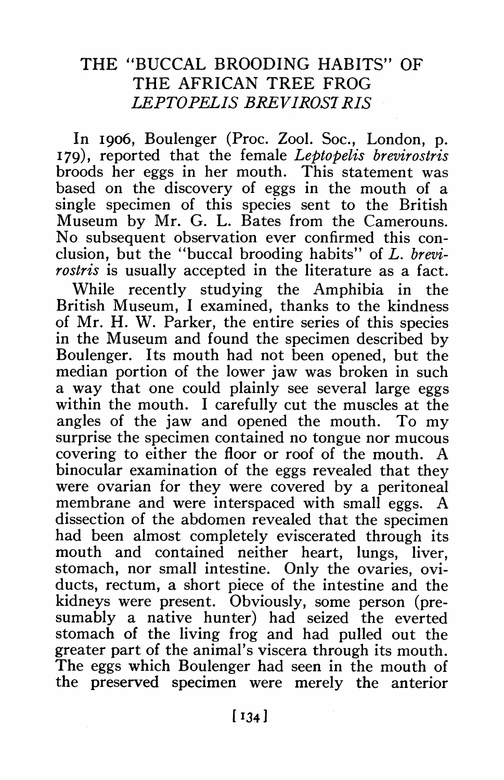## **THE "BUCCAL BROODING HABITS" OF THE AFRICAN TREE FROG LEPTOPELIS BREVIROSI RIS**

**In I906, Boulenger (Proc. Zool. Soc., London, p. I79), reported that the female Leptopelis brevirostris broods her eggs in her mouth. This statement was based on the discovery of eggs in the mouth of a single specimen of this species sent to the British Museum by Mr. G. L. Bates from the Camerouns. No subsequent observation ever confirmed this conclusion, but the "buccal brooding habits" of L. brevirostris is usually accepted in the literature as a fact.** 

**While recently studying the Amphibia in the British Museum, I examined, thanks to the kindness of Mr. H. W. Parker, the entire series of this species in the Museum and found the specimen described by Boulenger. Its mouth had not been opened, but the median portion of the lower jaw was broken in such a way that one could plainly see several large eggs within the mouth. I carefully cut the muscles at the angles of the jaw and opened the mouth. To my surprise the specimen contained no tongue nor mucous covering to either the floor or roof of the mouth. A binocular examination of the eggs revealed that they were ovarian for they were covered by a peritoneal**  membrane and were interspaced with small eggs. **dissection of the abdomen revealed that the specimen had been almost completely eviscerated through its mouth and contained neither heart, lungs, liver, stomach, nor small intestine. Only the ovaries, oviducts, rectum, a short piece of the intestine and the kidneys were present. Obviously, some person (presumably a native hunter) had seized the everted stomach of the living frog and had pulled out the greater part of the animal's viscera through its mouth. The eggs which Boulenger had seen in the mouth of the preserved specimen were merely the anterior**